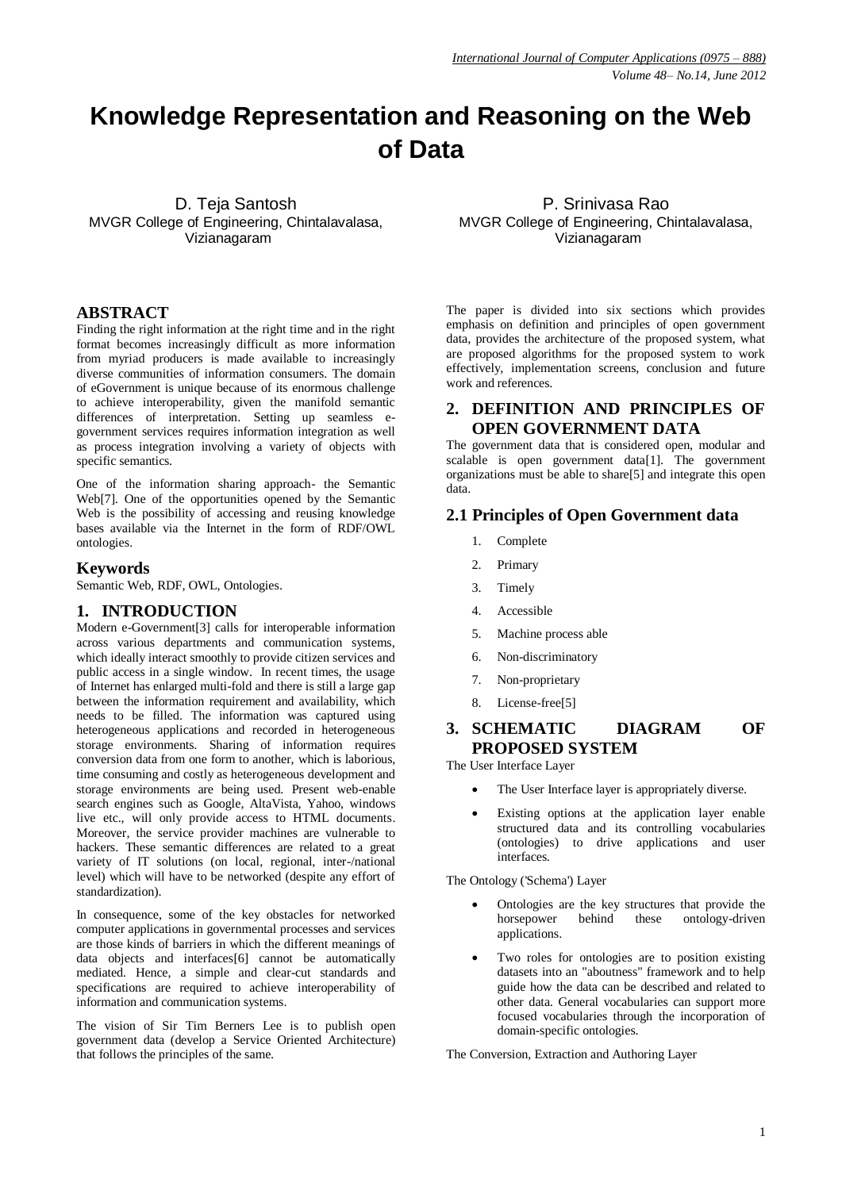# **Knowledge Representation and Reasoning on the Web of Data**

D. Teja Santosh MVGR College of Engineering, Chintalavalasa, Vizianagaram

#### **ABSTRACT**

Finding the right information at the right time and in the right format becomes increasingly difficult as more information from myriad producers is made available to increasingly diverse communities of information consumers. The domain of eGovernment is unique because of its enormous challenge to achieve interoperability, given the manifold semantic differences of interpretation. Setting up seamless egovernment services requires information integration as well as process integration involving a variety of objects with specific semantics.

One of the information sharing approach- the Semantic Web[7]. One of the opportunities opened by the Semantic Web is the possibility of accessing and reusing knowledge bases available via the Internet in the form of RDF/OWL ontologies.

#### **Keywords**

Semantic Web, RDF, OWL, Ontologies.

#### **1. INTRODUCTION**

Modern e-Government[3] calls for interoperable information across various departments and communication systems, which ideally interact smoothly to provide citizen services and public access in a single window. In recent times, the usage of Internet has enlarged multi-fold and there is still a large gap between the information requirement and availability, which needs to be filled. The information was captured using heterogeneous applications and recorded in heterogeneous storage environments. Sharing of information requires conversion data from one form to another, which is laborious, time consuming and costly as heterogeneous development and storage environments are being used. Present web-enable search engines such as Google, AltaVista, Yahoo, windows live etc., will only provide access to HTML documents. Moreover, the service provider machines are vulnerable to hackers. These semantic differences are related to a great variety of IT solutions (on local, regional, inter-/national level) which will have to be networked (despite any effort of standardization).

In consequence, some of the key obstacles for networked computer applications in governmental processes and services are those kinds of barriers in which the different meanings of data objects and interfaces[6] cannot be automatically mediated. Hence, a simple and clear-cut standards and specifications are required to achieve interoperability of information and communication systems.

The vision of Sir Tim Berners Lee is to publish open government data (develop a Service Oriented Architecture) that follows the principles of the same.

P. Srinivasa Rao MVGR College of Engineering, Chintalavalasa, Vizianagaram

The paper is divided into six sections which provides emphasis on definition and principles of open government data, provides the architecture of the proposed system, what are proposed algorithms for the proposed system to work effectively, implementation screens, conclusion and future work and references.

#### **2. DEFINITION AND PRINCIPLES OF OPEN GOVERNMENT DATA**

The government data that is considered open, modular and scalable is open government data[1]. The government organizations must be able to share[5] and integrate this open data.

#### **2.1 Principles of Open Government data**

- 1. Complete
- 2. Primary
- 3. Timely
- 4. Accessible
- 5. Machine process able
- 6. Non-discriminatory
- 7. Non-proprietary
- 8. License-free[5]

# **3. SCHEMATIC DIAGRAM OF PROPOSED SYSTEM**

The User Interface Layer

- The User Interface layer is appropriately diverse.
- Existing options at the application layer enable structured data and its controlling vocabularies (ontologies) to drive applications and user interfaces.

The Ontology ('Schema') Layer

- Ontologies are the key structures that provide the horsepower behind these ontology-driven applications.
- Two roles for ontologies are to position existing datasets into an "aboutness" framework and to help guide how the data can be described and related to other data. General vocabularies can support more focused vocabularies through the incorporation of domain-specific ontologies.

The Conversion, Extraction and Authoring Layer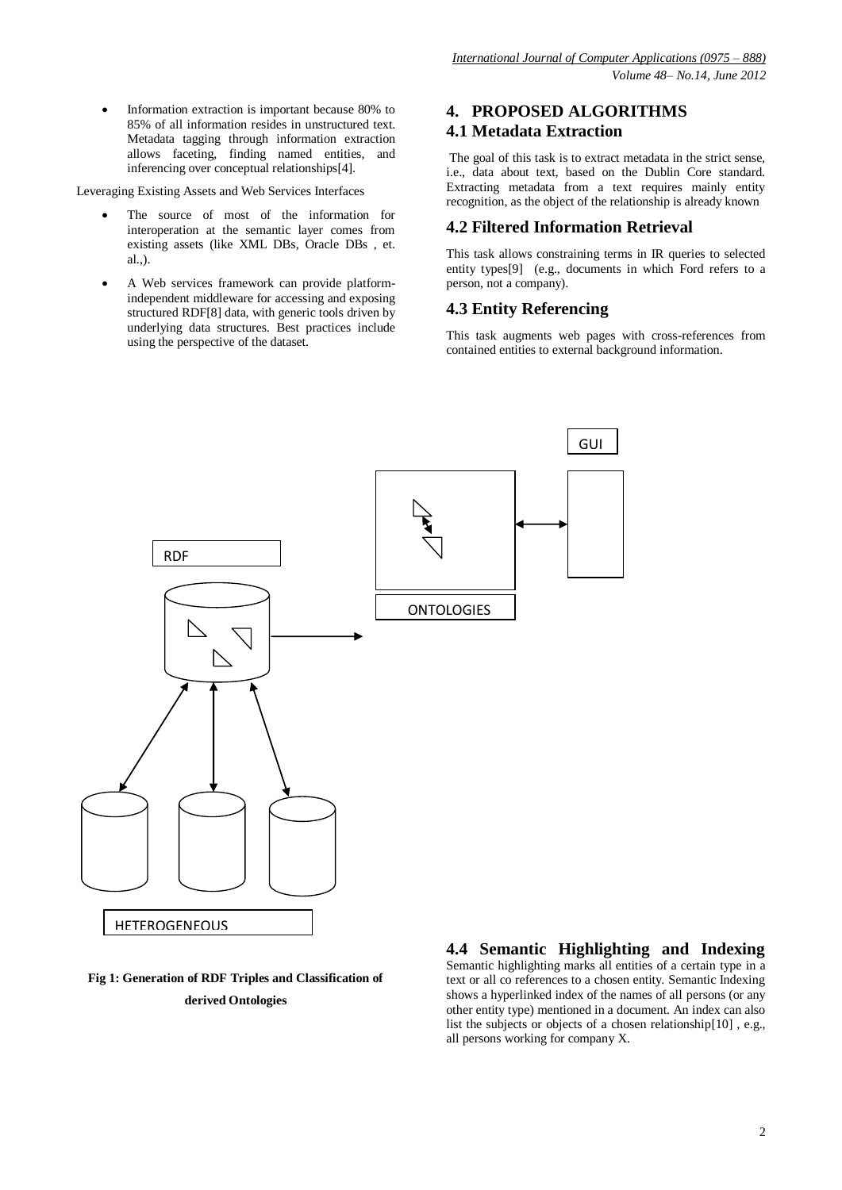Information extraction is important because 80% to 85% of all information resides in unstructured text. Metadata tagging through information extraction allows faceting, finding named entities, and inferencing over conceptual relationships[4].

Leveraging Existing Assets and Web Services Interfaces

- The source of most of the information for interoperation at the semantic layer comes from existing assets (like XML DBs, Oracle DBs , et. al.,).
- A Web services framework can provide platformindependent middleware for accessing and exposing structured RDF[8] data, with generic tools driven by underlying data structures. Best practices include using the perspective of the dataset.

## **4. PROPOSED ALGORITHMS 4.1 Metadata Extraction**

The goal of this task is to extract metadata in the strict sense, i.e., data about text, based on the Dublin Core standard. Extracting metadata from a text requires mainly entity recognition, as the object of the relationship is already known

#### **4.2 Filtered Information Retrieval**

This task allows constraining terms in IR queries to selected entity types[9] (e.g., documents in which Ford refers to a person, not a company).

### **4.3 Entity Referencing**

This task augments web pages with cross-references from contained entities to external background information.



### **Fig 1: Generation of RDF Triples and Classification of derived Ontologies**

## **4.4 Semantic Highlighting and Indexing**

Semantic highlighting marks all entities of a certain type in a text or all co references to a chosen entity. Semantic Indexing shows a hyperlinked index of the names of all persons (or any other entity type) mentioned in a document. An index can also list the subjects or objects of a chosen relationship[10] , e.g., all persons working for company X.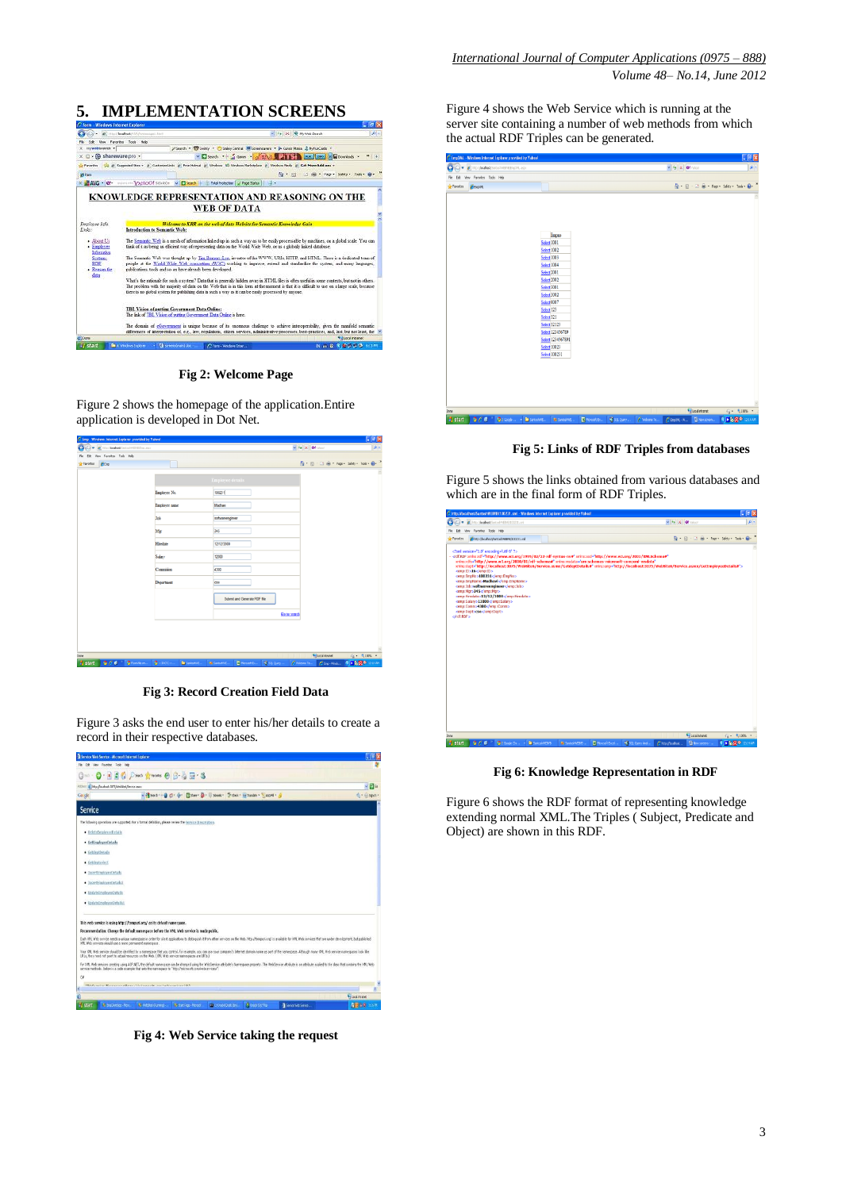# **5. IMPLEMENTATION SCREENS**



**Fig 2: Welcome Page**

Figure 2 shows the homepage of the application.Entire application is developed in Dot Net.

| C imp. Windows Internet Explorer provided by Wahool |                     |                                                                      |                                                                                                                                                                                                                                                | 电图图               |
|-----------------------------------------------------|---------------------|----------------------------------------------------------------------|------------------------------------------------------------------------------------------------------------------------------------------------------------------------------------------------------------------------------------------------|-------------------|
| o<br>C = C http://boshoek/SantoshiveEivEivEnoacco   |                     |                                                                      | $\sim$ $\frac{1}{2}$ X Of taken                                                                                                                                                                                                                | $\rho =$          |
| Edt Very Favorites Tools Help<br>Fie                |                     |                                                                      |                                                                                                                                                                                                                                                |                   |
| <b>Fitno</b><br><b>Carotes</b>                      |                     |                                                                      | $\overline{\mathbb{Q}}\cdot\overline{\mathbb{Q}}\cdot\overline{\mathbb{Q}}\cdot\overline{\mathbb{Q}}\cdot\overline{\mathbb{Q}}\cdot\text{Pois}: \text{Sdet}_I\cdot\text{Ioda}\cdot\overline{\mathbb{Q}}\cdot\overline{\phantom{\mathbb{Q}}^2}$ |                   |
|                                                     |                     |                                                                      |                                                                                                                                                                                                                                                |                   |
|                                                     |                     | <b>Employee details</b>                                              |                                                                                                                                                                                                                                                |                   |
|                                                     | Employee No.        | 100231                                                               |                                                                                                                                                                                                                                                |                   |
|                                                     | Employee same       | Machavi                                                              |                                                                                                                                                                                                                                                |                   |
|                                                     | Job                 | schvareengineer                                                      |                                                                                                                                                                                                                                                |                   |
|                                                     | Mar                 | 345                                                                  |                                                                                                                                                                                                                                                |                   |
|                                                     | Hiredate            | 12/12/2000                                                           |                                                                                                                                                                                                                                                |                   |
|                                                     | <b>Salay</b>        | 12000                                                                |                                                                                                                                                                                                                                                |                   |
|                                                     | Commision           | 4300                                                                 |                                                                                                                                                                                                                                                |                   |
|                                                     | Department          | cse                                                                  |                                                                                                                                                                                                                                                |                   |
|                                                     |                     | Submit and Generate RDF file                                         |                                                                                                                                                                                                                                                |                   |
|                                                     |                     |                                                                      | Go to search                                                                                                                                                                                                                                   |                   |
|                                                     |                     |                                                                      |                                                                                                                                                                                                                                                |                   |
|                                                     |                     |                                                                      |                                                                                                                                                                                                                                                |                   |
|                                                     |                     |                                                                      |                                                                                                                                                                                                                                                |                   |
|                                                     |                     |                                                                      |                                                                                                                                                                                                                                                |                   |
| Done                                                |                     |                                                                      | <b>Educational</b>                                                                                                                                                                                                                             | 信: 4100% ·        |
| 900<br><b>Diffunction</b><br><b>By</b> start        | $\bullet$ = percent | <b>E</b> Mossek Er.<br><b>To</b> Sustain E.<br><b>B.</b> Santakritt, | Colombia<br>Course.<br>Che-Widel                                                                                                                                                                                                               | <b>REMODELING</b> |

**Fig 3: Record Creation Field Data**

Figure 3 asks the end user to enter his/her details to create a record in their respective databases.

| El Service Web Service - Microsoft Internet Explorer                                                                                                                                                                                                                                                                                                                                                                                                                                                                                                                                                                                                                                                                                                                                        |                   |
|---------------------------------------------------------------------------------------------------------------------------------------------------------------------------------------------------------------------------------------------------------------------------------------------------------------------------------------------------------------------------------------------------------------------------------------------------------------------------------------------------------------------------------------------------------------------------------------------------------------------------------------------------------------------------------------------------------------------------------------------------------------------------------------------|-------------------|
| File Edit View Favorites Tools Help                                                                                                                                                                                                                                                                                                                                                                                                                                                                                                                                                                                                                                                                                                                                                         |                   |
|                                                                                                                                                                                                                                                                                                                                                                                                                                                                                                                                                                                                                                                                                                                                                                                             |                   |
| [8] http://ocahost.3075/WebStei.Kervice.asns<br>Abbay                                                                                                                                                                                                                                                                                                                                                                                                                                                                                                                                                                                                                                                                                                                                       |                   |
| v Missed - @ C - @ - ESar - @ - Il Stevi - S Oed - is tuning - T And - @<br>Gorgic                                                                                                                                                                                                                                                                                                                                                                                                                                                                                                                                                                                                                                                                                                          | $A - \Theta$ Spih |
| <b>Service</b>                                                                                                                                                                                                                                                                                                                                                                                                                                                                                                                                                                                                                                                                                                                                                                              |                   |
| The following operations are supported. For a formal definition, please review the Service Description.                                                                                                                                                                                                                                                                                                                                                                                                                                                                                                                                                                                                                                                                                     |                   |
| · DeleteEmaltyzeDstalk                                                                                                                                                                                                                                                                                                                                                                                                                                                                                                                                                                                                                                                                                                                                                                      |                   |
| · GettingloyeeDetails                                                                                                                                                                                                                                                                                                                                                                                                                                                                                                                                                                                                                                                                                                                                                                       |                   |
| · GetdeptDetails                                                                                                                                                                                                                                                                                                                                                                                                                                                                                                                                                                                                                                                                                                                                                                            |                   |
| · Getdeptselect                                                                                                                                                                                                                                                                                                                                                                                                                                                                                                                                                                                                                                                                                                                                                                             |                   |
| · InsertEmployeeDatalls                                                                                                                                                                                                                                                                                                                                                                                                                                                                                                                                                                                                                                                                                                                                                                     |                   |
| · InsertEmaloyeeDetails1                                                                                                                                                                                                                                                                                                                                                                                                                                                                                                                                                                                                                                                                                                                                                                    |                   |
| · Undated moleceeDetails                                                                                                                                                                                                                                                                                                                                                                                                                                                                                                                                                                                                                                                                                                                                                                    |                   |
| · UpdateEntoloveeDetailst                                                                                                                                                                                                                                                                                                                                                                                                                                                                                                                                                                                                                                                                                                                                                                   |                   |
| This web service is using http://tempuri.org/ as its default namespace.<br>Recommendation: Change the default namespace before the XML Web service is made public.<br>Each XML Web service needs a unique namespape in order for client applications to distinguish it from other services on the Web. http://tempuri.nm/ is available for XML Web services that are under development, but publishe<br>XPE, Web services should use a more permanent namespace.<br>Your XML Web service should be identified by a namespace that you control. For example, you can use your company's Internet domain name as part of the namespace. Although many XML Web service namespaces limit Wa<br>URLs, they need not point to actual resources on the Web, (XML Web service namespaces are URIs.) |                   |
| For XML Web services creating using ASP NET, the default namespace can be changed using the WebService attribute's Namespace property. The WebService attribute is an attribute applied to the dass that contains the XML Web<br>service methods. Below is a code example that sets the namestage to "http://microsoft.com/webservices/";                                                                                                                                                                                                                                                                                                                                                                                                                                                   |                   |
|                                                                                                                                                                                                                                                                                                                                                                                                                                                                                                                                                                                                                                                                                                                                                                                             |                   |
| Philosophia Philippine Philosophia (Andreus and Constantino and Constantino and                                                                                                                                                                                                                                                                                                                                                                                                                                                                                                                                                                                                                                                                                                             |                   |
| $\alpha$<br>k                                                                                                                                                                                                                                                                                                                                                                                                                                                                                                                                                                                                                                                                                                                                                                               | <b>Ninging</b>    |

**Fig 4: Web Service taking the request**

Figure 4 shows the Web Service which is running at the server site containing a number of web methods from which the actual RDF Triples can be generated.

|                  | C EmpXAL - Windows Internet Explorer provided by Yahoo! |                                                                                                                                                                                                                                                                                                                      |  |                     |                                |               |                                                                                                                                                                                                                 | F5x              |
|------------------|---------------------------------------------------------|----------------------------------------------------------------------------------------------------------------------------------------------------------------------------------------------------------------------------------------------------------------------------------------------------------------------|--|---------------------|--------------------------------|---------------|-----------------------------------------------------------------------------------------------------------------------------------------------------------------------------------------------------------------|------------------|
|                  | G (C) · Bltp://bohod/Suttorbit@itjpp01.aspx             |                                                                                                                                                                                                                                                                                                                      |  |                     | $v \leftrightarrow X$ Of value |               |                                                                                                                                                                                                                 | $\boxed{\rho}$ . |
|                  | File Edit View Favorites Tools Help                     |                                                                                                                                                                                                                                                                                                                      |  |                     |                                |               |                                                                                                                                                                                                                 |                  |
| <b>Favorites</b> | <b>GENGIN</b>                                           |                                                                                                                                                                                                                                                                                                                      |  |                     |                                |               | $\overline{\mathbb{S}^1} \cdot \overline{\mathbb{S}^1} \cdot \overline{\mathbb{S}^1} \cdot \overline{\mathbb{S}^1} \cdot \text{Pape Sifety - Tock} \cdot \overline{\mathbb{S}^1} \cdot \overline{\mathbb{S}^1}$ |                  |
|                  |                                                         | Empro<br><b>Select 1001</b><br>Select 1002<br><b>Select 1003</b><br>Select 1004<br>Select 2001<br>Select 2002<br>Select <sup>3001</sup><br><b>Select 3002</b><br>Select 0007<br>Select <sub>123</sub><br>Select 321<br>Select 32123<br>Select 123456789<br>Select 1234567891<br><b>Select 10023</b><br>Select 100231 |  |                     |                                |               |                                                                                                                                                                                                                 |                  |
| Done             |                                                         |                                                                                                                                                                                                                                                                                                                      |  | <b>The Contract</b> |                                | Localistranet |                                                                                                                                                                                                                 | $Q = 310\% - 1$  |

**Fig 5: Links of RDF Triples from databases**

Figure 5 shows the links obtained from various databases and which are in the final form of RDF Triples.

| C) v            | E http://localhost/Santosh/AEB/8/100231.cml                                                                                                                                                                                                                                                                                                                                                                                                                                                                                                                                                                                                                                       |  |  | $= 4$ $\times 0!$ | ۰ فرا                                   |
|-----------------|-----------------------------------------------------------------------------------------------------------------------------------------------------------------------------------------------------------------------------------------------------------------------------------------------------------------------------------------------------------------------------------------------------------------------------------------------------------------------------------------------------------------------------------------------------------------------------------------------------------------------------------------------------------------------------------|--|--|-------------------|-----------------------------------------|
| Fån             | Edt Vew Forcettes Took Help                                                                                                                                                                                                                                                                                                                                                                                                                                                                                                                                                                                                                                                       |  |  |                   |                                         |
| <b>Envortes</b> | Hotp://bcahost/SantoshWEBKB/100231.vnl                                                                                                                                                                                                                                                                                                                                                                                                                                                                                                                                                                                                                                            |  |  |                   | A · 同 · □ 曲 · Page · Safety · Tools · 日 |
| cirdf:RDF>      | /rin version="1.0" encoding="utf-8" ?<br>- crdf:RDF xmhs:rdf="http://www.w3.org/1999/02/22-rdf-syntax-ns#" xmins:xxd="http://www.w3.org/2001/XMLSchema#"<br>xmins:rdfs="http://www.w3.org/2000/01/rdf-schema#" xmins:msdata="urn:schemas-microsoft-com:xml-msdata"<br>xmins:dept="http://localhost:3075/WebSite6/Service.asmx/GetdeptDetails#" xmins:emp="http://localhost:3075/WebSite6/Service.asmx/GetEmployeeDetails#"><br>cemp:ID>16<br><emp:empno>100231</emp:empno><br><emp:empname>Madhavi</emp:empname><br>camp:3cb>softwareengineer<br><amp:mgr>345</amp:mgr><br>comp:Hirodate>12/12/2000<br>cemp:Salary>12000<br><emp:comm>4300</emp:comm><br><emp:dept>cse</emp:dept> |  |  |                   |                                         |
|                 |                                                                                                                                                                                                                                                                                                                                                                                                                                                                                                                                                                                                                                                                                   |  |  |                   |                                         |

**Fig 6: Knowledge Representation in RDF**

Figure 6 shows the RDF format of representing knowledge extending normal XML.The Triples ( Subject, Predicate and Object) are shown in this RDF.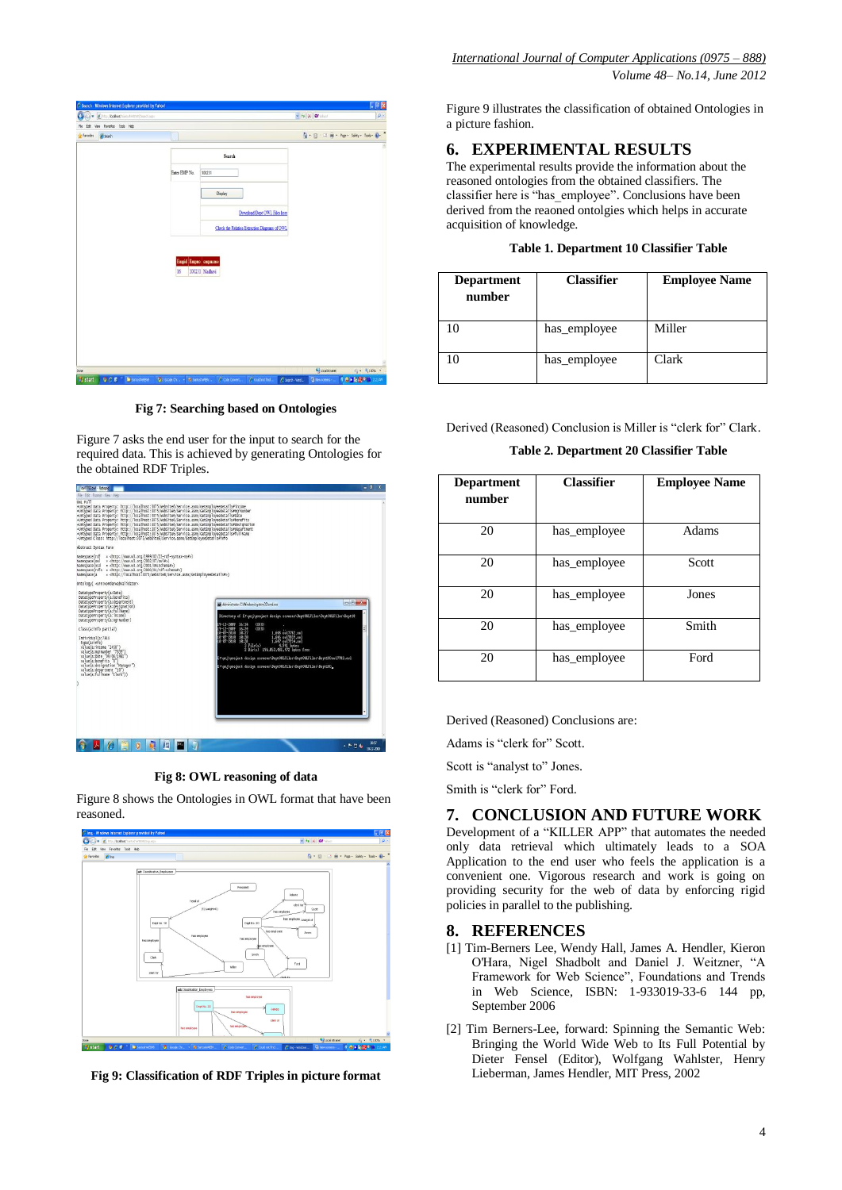

**Fig 7: Searching based on Ontologies**

Figure 7 asks the end user for the input to search for the required data. This is achieved by generating Ontologies for the obtained RDF Triples.



**Fig 8: OWL reasoning of data**

Figure 8 shows the Ontologies in OWL format that have been reasoned.



**Fig 9: Classification of RDF Triples in picture format**

Figure 9 illustrates the classification of obtained Ontologies in a picture fashion.

# **6. EXPERIMENTAL RESULTS**

The experimental results provide the information about the reasoned ontologies from the obtained classifiers. The classifier here is "has\_employee". Conclusions have been derived from the reaoned ontolgies which helps in accurate acquisition of knowledge.

| Table 1. Department 10 Classifier Table |
|-----------------------------------------|
|-----------------------------------------|

| <b>Department</b><br>number | <b>Classifier</b> | <b>Employee Name</b> |
|-----------------------------|-------------------|----------------------|
|                             | has employee      | Miller               |
|                             | has_employee      | Clark                |

Derived (Reasoned) Conclusion is Miller is "clerk for" Clark.

**Table 2. Department 20 Classifier Table**

| <b>Department</b><br>number | <b>Classifier</b> | <b>Employee Name</b> |
|-----------------------------|-------------------|----------------------|
| 20                          | has_employee      | Adams                |
| 20                          | has employee      | Scott                |
| 20                          | has employee      | Jones                |
| 20                          | has employee      | Smith                |
| 20                          | has_employee      | Ford                 |

Derived (Reasoned) Conclusions are:

Adams is "clerk for" Scott.

Scott is "analyst to" Jones.

Smith is "clerk for" Ford.

#### **7. CONCLUSION AND FUTURE WORK**

Development of a "KILLER APP" that automates the needed only data retrieval which ultimately leads to a SOA Application to the end user who feels the application is a convenient one. Vigorous research and work is going on providing security for the web of data by enforcing rigid policies in parallel to the publishing.

#### **8. REFERENCES**

- [1] Tim-Berners Lee, Wendy Hall, James A. Hendler, Kieron O'Hara, Nigel Shadbolt and Daniel J. Weitzner, "A Framework for Web Science", Foundations and Trends in Web Science, ISBN: 1-933019-33-6 144 pp, September 2006
- [2] Tim Berners-Lee, forward: Spinning the Semantic Web: Bringing the World Wide Web to Its Full Potential by Dieter Fensel (Editor), Wolfgang Wahlster, Henry Lieberman, James Hendler, MIT Press, 2002